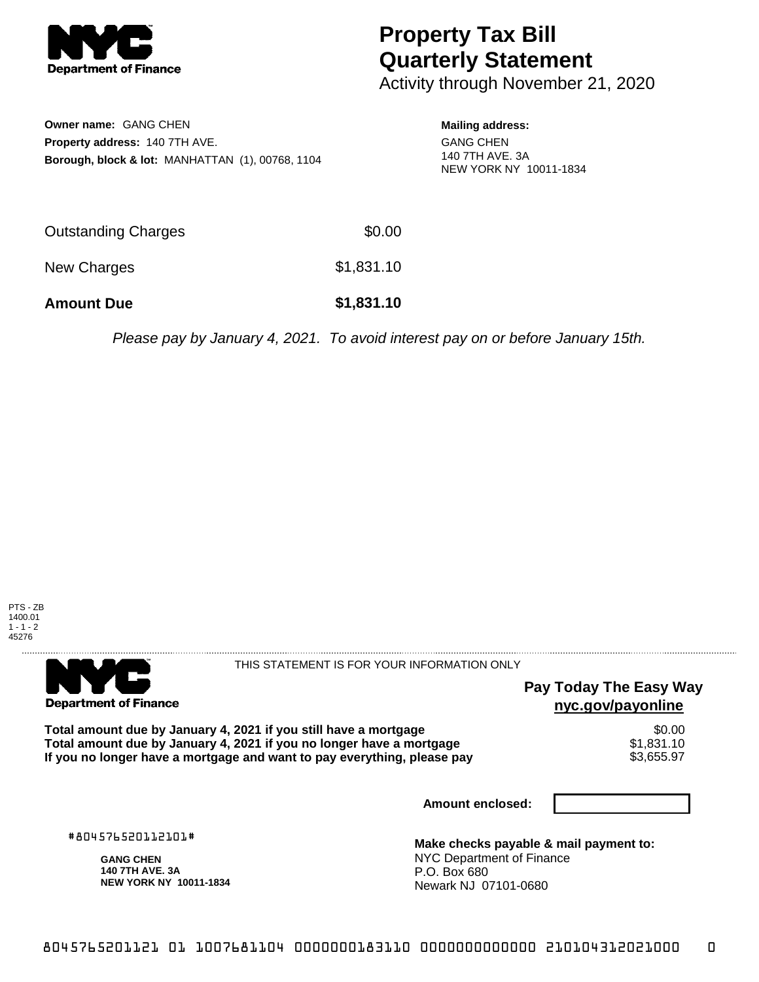

# **Property Tax Bill Quarterly Statement**

Activity through November 21, 2020

| <b>Owner name: GANG CHEN</b>                                |
|-------------------------------------------------------------|
| <b>Property address: 140 7TH AVE.</b>                       |
| <b>Borough, block &amp; lot: MANHATTAN (1), 00768, 1104</b> |

#### **Mailing address:** GANG CHEN 140 7TH AVE. 3A

NEW YORK NY 10011-1834

| <b>Amount Due</b>   | \$1,831.10 |
|---------------------|------------|
| New Charges         | \$1,831.10 |
| Outstanding Charges | \$0.00     |

Please pay by January 4, 2021. To avoid interest pay on or before January 15th.



. . . . . . . . . . . . . . . .

THIS STATEMENT IS FOR YOUR INFORMATION ONLY

## **Pay Today The Easy Way nyc.gov/payonline**

Total amount due by January 4, 2021 if you still have a mortgage  $$0.00$ <br>Total amount due by January 4, 2021 if you no longer have a mortgage  $$1,831.10$ **Total amount due by January 4, 2021 if you no longer have a mortgage**  $$1,831.10$ **<br>If you no longer have a mortgage and want to pay everything, please pay**  $$3,655.97$ If you no longer have a mortgage and want to pay everything, please pay

**Amount enclosed:**

#804576520112101#

**Department of Finance** 

**GANG CHEN 140 7TH AVE. 3A NEW YORK NY 10011-1834**

**Make checks payable & mail payment to:** NYC Department of Finance P.O. Box 680 Newark NJ 07101-0680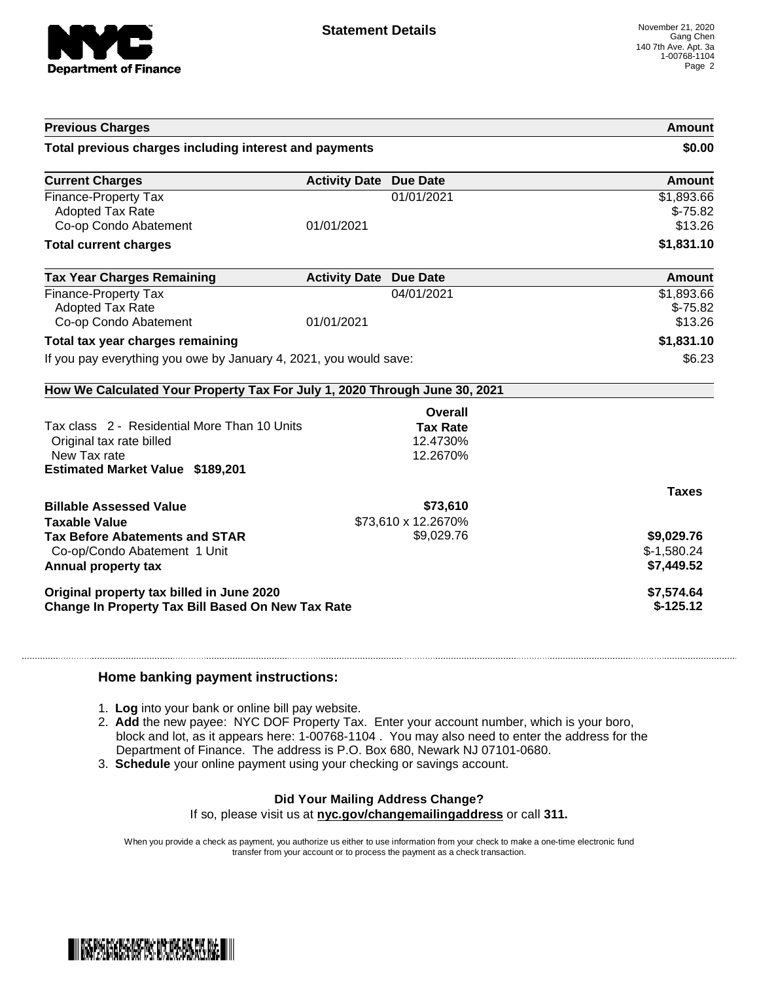

| <b>Previous Charges</b>                                                                                                             |                               |                                         | Amount                                   |
|-------------------------------------------------------------------------------------------------------------------------------------|-------------------------------|-----------------------------------------|------------------------------------------|
| Total previous charges including interest and payments                                                                              |                               |                                         | \$0.00                                   |
| <b>Current Charges</b>                                                                                                              | <b>Activity Date Due Date</b> |                                         | <b>Amount</b>                            |
| Finance-Property Tax<br><b>Adopted Tax Rate</b><br>Co-op Condo Abatement                                                            | 01/01/2021                    | 01/01/2021                              | \$1,893.66<br>$$-75.82$<br>\$13.26       |
| <b>Total current charges</b>                                                                                                        |                               |                                         | \$1,831.10                               |
| <b>Tax Year Charges Remaining</b>                                                                                                   | <b>Activity Date</b>          | <b>Due Date</b>                         | Amount                                   |
| Finance-Property Tax<br><b>Adopted Tax Rate</b><br>Co-op Condo Abatement                                                            | 01/01/2021                    | 04/01/2021                              | \$1,893.66<br>$$-75.82$<br>\$13.26       |
| Total tax year charges remaining                                                                                                    |                               |                                         | \$1,831.10                               |
| If you pay everything you owe by January 4, 2021, you would save:                                                                   |                               |                                         | \$6.23                                   |
| How We Calculated Your Property Tax For July 1, 2020 Through June 30, 2021                                                          |                               |                                         |                                          |
|                                                                                                                                     |                               | <b>Overall</b>                          |                                          |
| Tax class 2 - Residential More Than 10 Units<br>Original tax rate billed<br>New Tax rate<br><b>Estimated Market Value \$189,201</b> |                               | <b>Tax Rate</b><br>12.4730%<br>12.2670% |                                          |
|                                                                                                                                     |                               |                                         | <b>Taxes</b>                             |
| <b>Billable Assessed Value</b><br><b>Taxable Value</b>                                                                              |                               | \$73,610<br>\$73,610 x 12.2670%         |                                          |
| <b>Tax Before Abatements and STAR</b><br>Co-op/Condo Abatement 1 Unit<br>Annual property tax                                        |                               | \$9,029.76                              | \$9,029.76<br>$$-1,580.24$<br>\$7,449.52 |
| Original property tax billed in June 2020<br><b>Change In Property Tax Bill Based On New Tax Rate</b>                               |                               |                                         | \$7,574.64<br>$$-125.12$                 |

#### **Home banking payment instructions:**

- 1. **Log** into your bank or online bill pay website.
- 2. **Add** the new payee: NYC DOF Property Tax. Enter your account number, which is your boro, block and lot, as it appears here: 1-00768-1104 . You may also need to enter the address for the Department of Finance. The address is P.O. Box 680, Newark NJ 07101-0680.
- 3. **Schedule** your online payment using your checking or savings account.

### **Did Your Mailing Address Change?**

If so, please visit us at **nyc.gov/changemailingaddress** or call **311.**

When you provide a check as payment, you authorize us either to use information from your check to make a one-time electronic fund transfer from your account or to process the payment as a check transaction.